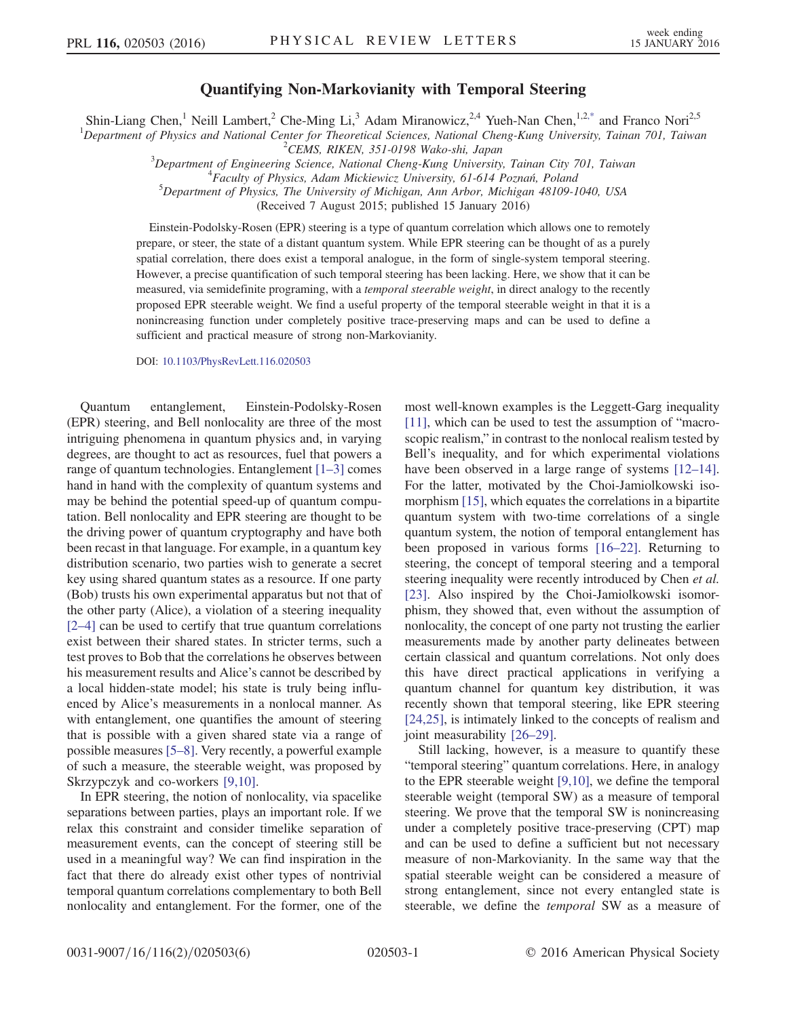## Quantifying Non-Markovianity with Temporal Steering

<span id="page-0-0"></span>Shin-Liang Chen,<sup>1</sup> Neill Lambert,<sup>2</sup> Che-Ming Li,<sup>3</sup> Adam Miranowicz,<sup>2,4</sup> Yueh-Nan Chen,<sup>1,[2,\\*](#page-4-0)</sup> and Franco Nori<sup>2,5</sup>

<sup>1</sup>Department of Physics and National Center for Theoretical Sciences, National Cheng-Kung University, Tainan 701, Taiwan  $^{2}$ CEMS, RIKEN, 351-0198 Wako-shi, Japan

 $3$ Department of Engineering Science, National Cheng-Kung University, Tainan City 701, Taiwan

Faculty of Physics, Adam Mickiewicz University, 61-614 Poznań, Poland <sup>5</sup>

 $5$ Department of Physics, The University of Michigan, Ann Arbor, Michigan 48109-1040, USA

(Received 7 August 2015; published 15 January 2016)

Einstein-Podolsky-Rosen (EPR) steering is a type of quantum correlation which allows one to remotely prepare, or steer, the state of a distant quantum system. While EPR steering can be thought of as a purely spatial correlation, there does exist a temporal analogue, in the form of single-system temporal steering. However, a precise quantification of such temporal steering has been lacking. Here, we show that it can be measured, via semidefinite programing, with a *temporal steerable weight*, in direct analogy to the recently proposed EPR steerable weight. We find a useful property of the temporal steerable weight in that it is a nonincreasing function under completely positive trace-preserving maps and can be used to define a sufficient and practical measure of strong non-Markovianity.

DOI: [10.1103/PhysRevLett.116.020503](http://dx.doi.org/10.1103/PhysRevLett.116.020503)

Quantum entanglement, Einstein-Podolsky-Rosen (EPR) steering, and Bell nonlocality are three of the most intriguing phenomena in quantum physics and, in varying degrees, are thought to act as resources, fuel that powers a range of quantum technologies. Entanglement [\[1](#page-4-1)–3] comes hand in hand with the complexity of quantum systems and may be behind the potential speed-up of quantum computation. Bell nonlocality and EPR steering are thought to be the driving power of quantum cryptography and have both been recast in that language. For example, in a quantum key distribution scenario, two parties wish to generate a secret key using shared quantum states as a resource. If one party (Bob) trusts his own experimental apparatus but not that of the other party (Alice), a violation of a steering inequality [\[2](#page-4-2)–4] can be used to certify that true quantum correlations exist between their shared states. In stricter terms, such a test proves to Bob that the correlations he observes between his measurement results and Alice's cannot be described by a local hidden-state model; his state is truly being influenced by Alice's measurements in a nonlocal manner. As with entanglement, one quantifies the amount of steering that is possible with a given shared state via a range of possible measures [5–[8\].](#page-4-3) Very recently, a powerful example of such a measure, the steerable weight, was proposed by Skrzypczyk and co-workers [\[9,10\].](#page-4-4)

In EPR steering, the notion of nonlocality, via spacelike separations between parties, plays an important role. If we relax this constraint and consider timelike separation of measurement events, can the concept of steering still be used in a meaningful way? We can find inspiration in the fact that there do already exist other types of nontrivial temporal quantum correlations complementary to both Bell nonlocality and entanglement. For the former, one of the most well-known examples is the Leggett-Garg inequality [\[11\]](#page-4-5), which can be used to test the assumption of "macroscopic realism," in contrast to the nonlocal realism tested by Bell's inequality, and for which experimental violations have been observed in a large range of systems [\[12](#page-4-6)–14]. For the latter, motivated by the Choi-Jamiolkowski isomorphism [\[15\],](#page-4-7) which equates the correlations in a bipartite quantum system with two-time correlations of a single quantum system, the notion of temporal entanglement has been proposed in various forms [\[16](#page-4-8)–22]. Returning to steering, the concept of temporal steering and a temporal steering inequality were recently introduced by Chen *et al.* [\[23\]](#page-4-9). Also inspired by the Choi-Jamiolkowski isomorphism, they showed that, even without the assumption of nonlocality, the concept of one party not trusting the earlier measurements made by another party delineates between certain classical and quantum correlations. Not only does this have direct practical applications in verifying a quantum channel for quantum key distribution, it was recently shown that temporal steering, like EPR steering [\[24,25\]](#page-4-10), is intimately linked to the concepts of realism and joint measurability [26–[29\].](#page-4-11)

Still lacking, however, is a measure to quantify these "temporal steering" quantum correlations. Here, in analogy to the EPR steerable weight [\[9,10\],](#page-4-4) we define the temporal steerable weight (temporal SW) as a measure of temporal steering. We prove that the temporal SW is nonincreasing under a completely positive trace-preserving (CPT) map and can be used to define a sufficient but not necessary measure of non-Markovianity. In the same way that the spatial steerable weight can be considered a measure of strong entanglement, since not every entangled state is steerable, we define the temporal SW as a measure of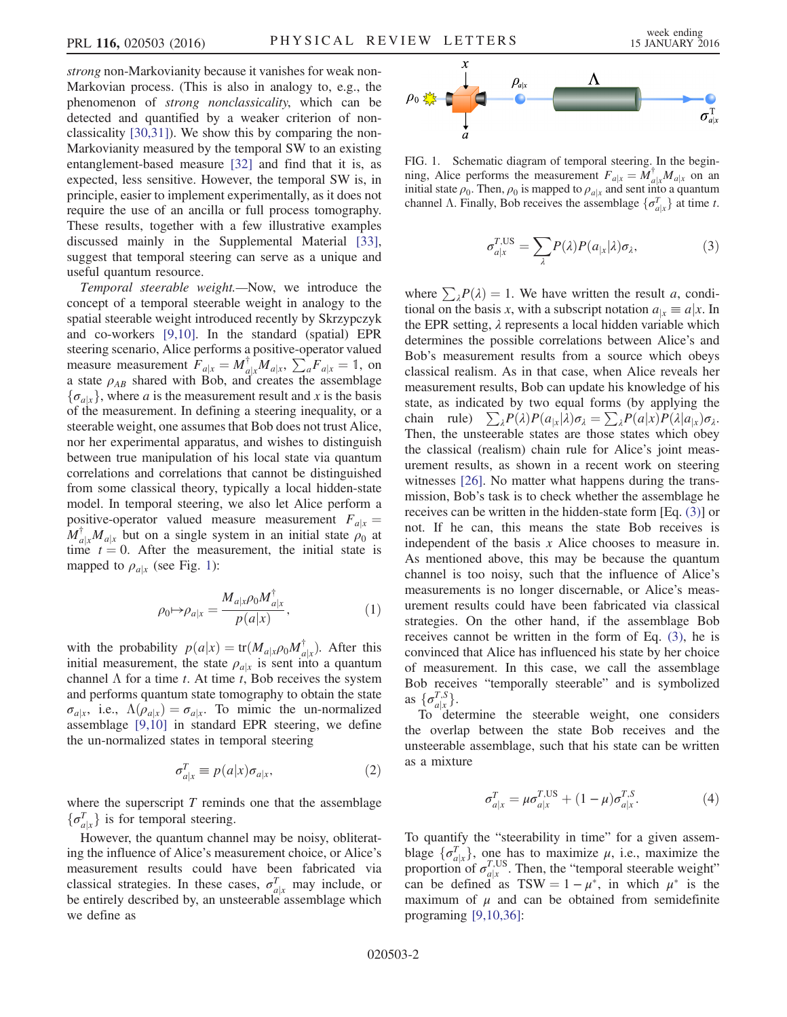strong non-Markovianity because it vanishes for weak non-Markovian process. (This is also in analogy to, e.g., the phenomenon of strong nonclassicality, which can be detected and quantified by a weaker criterion of nonclassicality [\[30,31\]](#page-5-0)). We show this by comparing the non-Markovianity measured by the temporal SW to an existing entanglement-based measure [\[32\]](#page-5-1) and find that it is, as expected, less sensitive. However, the temporal SW is, in principle, easier to implement experimentally, as it does not require the use of an ancilla or full process tomography. These results, together with a few illustrative examples discussed mainly in the Supplemental Material [\[33\]](#page-5-2), suggest that temporal steering can serve as a unique and useful quantum resource.

Temporal steerable weight.—Now, we introduce the concept of a temporal steerable weight in analogy to the spatial steerable weight introduced recently by Skrzypczyk and co-workers [\[9,10\]](#page-4-4). In the standard (spatial) EPR steering scenario, Alice performs a positive-operator valued measure measurement  $F_{a|x} = M_{a|x}^{\dagger} M_{a|x}$ ,  $\sum_{a}^{d} F_{a|x} = 1$ , on a state  $a_{AB}$  shared with Bob and creates the assemblage a state  $\rho_{AB}$  shared with Bob, and creates the assemblage  $\{\sigma_{a|x}\}\,$ , where a is the measurement result and x is the basis of the measurement. In defining a steering inequality, or a steerable weight, one assumes that Bob does not trust Alice, nor her experimental apparatus, and wishes to distinguish between true manipulation of his local state via quantum correlations and correlations that cannot be distinguished from some classical theory, typically a local hidden-state model. In temporal steering, we also let Alice perform a positive-operator valued measure measurement  $F_{a|x} =$  $M_{a|x}^{\dagger} M_{a|x}$  but on a single system in an initial state  $\rho_0$  at time  $t = 0$ . After the measurement, the initial state is time  $t = 0$ . After the measurement, the initial state is mapped to  $\rho_{a|x}$  (see Fig. [1](#page-1-0)):

$$
\rho_0 \mapsto \rho_{a|x} = \frac{M_{a|x} \rho_0 M_{a|x}^\dagger}{p(a|x)},\tag{1}
$$

with the probability  $p(a|x) = \text{tr}(M_{a|x} \rho_0 M_{a|x}^{\dagger})$ . After this initial measurement the state  $\rho_{\perp}$  is sent into a quantum initial measurement, the state  $\rho_{a|x}$  is sent into a quantum channel  $\Lambda$  for a time t. At time t, Bob receives the system and performs quantum state tomography to obtain the state  $\sigma_{a|x}$ , i.e.,  $\Lambda(\rho_{a|x}) = \sigma_{a|x}$ . To mimic the un-normalized assemblage [\[9,10\]](#page-4-4) in standard EPR steering, we define the un-normalized states in temporal steering

$$
\sigma_{a|x}^T \equiv p(a|x)\sigma_{a|x},\tag{2}
$$

where the superscript  $T$  reminds one that the assemblage  $\{\sigma_{a|x}^T\}$  is for temporal steering.

<span id="page-1-1"></span>However, the quantum channel may be noisy, obliterating the influence of Alice's measurement choice, or Alice's measurement results could have been fabricated via classical strategies. In these cases,  $\sigma_{a|x}^T$  may include, or<br>be entirely described by an unsteerable assemblage which be entirely described by, an unsteerable assemblage which we define as

<span id="page-1-0"></span>

FIG. 1. Schematic diagram of temporal steering. In the beginning, Alice performs the measurement  $F_{a|x} = M_{a|x}^{\dagger} M_{a|x}$  on an initial state  $\rho_0$ . Then  $\rho_0$  is manned to  $\rho_{\perp}$  and sent into a quantum initial state  $\rho_0$ . Then,  $\rho_0$  is mapped to  $\rho_{a|x}$  and sent into a quantum channel  $\Lambda$ . Finally, Bob receives the assemblage  $\{\sigma_{a|x}^T\}$  at time t.

$$
\sigma_{a|x}^{T,US} = \sum_{\lambda} P(\lambda) P(a_{|x}|\lambda) \sigma_{\lambda}, \tag{3}
$$

where  $\sum_{\lambda} P(\lambda) = 1$ . We have written the result a, conditional on the basis x, with a subscript notation  $a_{1x} \equiv a | x$ . In the EPR setting,  $\lambda$  represents a local hidden variable which determines the possible correlations between Alice's and Bob's measurement results from a source which obeys classical realism. As in that case, when Alice reveals her measurement results, Bob can update his knowledge of his state, as indicated by two equal forms (by applying the chain rule)  $\sum_{\lambda} P(\lambda)P(a_{|\lambda}|\lambda)\sigma_{\lambda} = \sum_{\lambda} P(a|x)P(\lambda|a_{|\lambda})\sigma_{\lambda}$ . Then, the unsteerable states are those states which obey the classical (realism) chain rule for Alice's joint measurement results, as shown in a recent work on steering witnesses [\[26\].](#page-4-11) No matter what happens during the transmission, Bob's task is to check whether the assemblage he receives can be written in the hidden-state form [Eq. [\(3\)](#page-1-1)] or not. If he can, this means the state Bob receives is independent of the basis  $x$  Alice chooses to measure in. As mentioned above, this may be because the quantum channel is too noisy, such that the influence of Alice's measurements is no longer discernable, or Alice's measurement results could have been fabricated via classical strategies. On the other hand, if the assemblage Bob receives cannot be written in the form of Eq. [\(3\),](#page-1-1) he is convinced that Alice has influenced his state by her choice of measurement. In this case, we call the assemblage Bob receives "temporally steerable" and is symbolized as  $\{\sigma_{a|x}^{T,S}\}$ .<br>To def

To determine the steerable weight, one considers the overlap between the state Bob receives and the unsteerable assemblage, such that his state can be written as a mixture

$$
\sigma_{a|x}^T = \mu \sigma_{a|x}^{T,US} + (1 - \mu) \sigma_{a|x}^{T,S}.
$$
 (4)

<span id="page-1-2"></span>To quantify the "steerability in time" for a given assemblage  $\{\sigma_{a|x}^T\}$ , one has to maximize  $\mu$ , i.e., maximize the proportion of  $\sigma_{a|x}^{T,US}$ . Then, the "temporal steerable weight"<br>can be defined as TSW = 1 –  $\mu^*$  in which  $\mu^*$  is the can be defined as  $TSW = 1 - \mu^*$ , in which  $\mu^*$  is the maximum of  $\mu$  and can be obtained from semidefinite maximum of  $\mu$  and can be obtained from semidefinite programing [\[9,10,36\]](#page-4-4):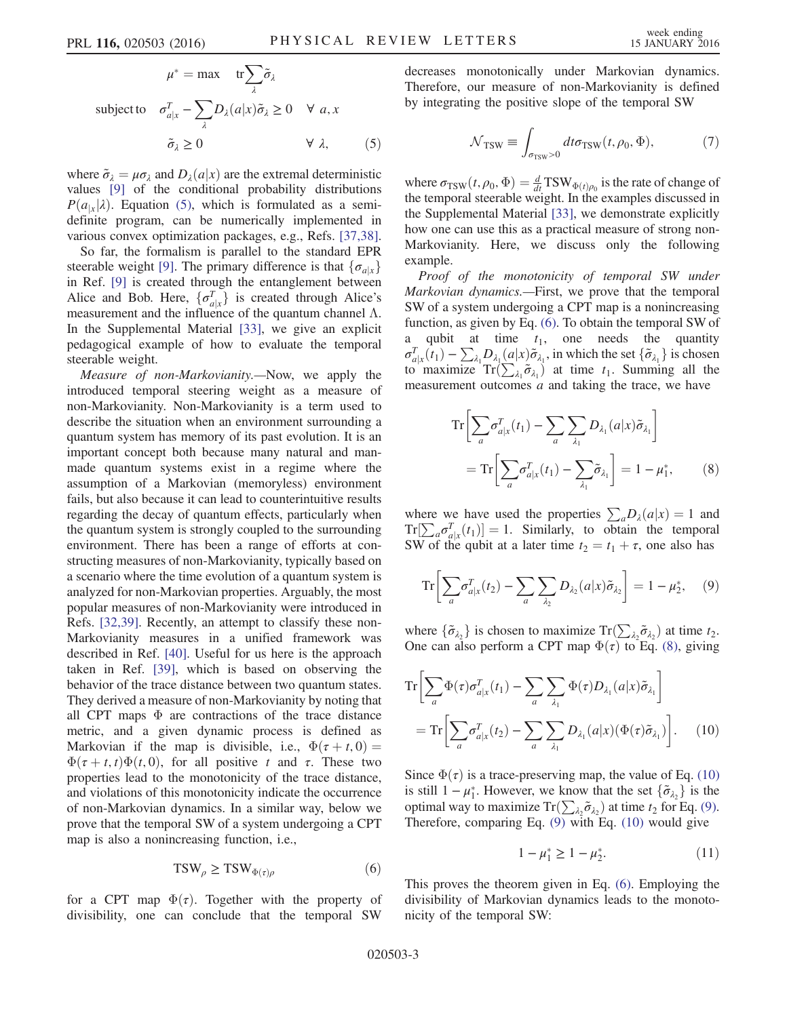$$
\mu^* = \max \quad \text{tr} \sum_{\lambda} \tilde{\sigma}_{\lambda}
$$
\n
$$
\text{subject to} \quad \sigma_{a|x}^T - \sum_{\lambda} D_{\lambda}(a|x) \tilde{\sigma}_{\lambda} \ge 0 \quad \forall \ a, x
$$
\n
$$
\tilde{\sigma}_{\lambda} \ge 0 \qquad \forall \ \lambda, \qquad (5)
$$

where  $\tilde{\sigma}_{\lambda} = \mu \sigma_{\lambda}$  and  $D_{\lambda}(a|x)$  are the extremal deterministic values [\[9\]](#page-4-4) of the conditional probability distributions  $P(a_{1x}|\lambda)$ . Equation [\(5\),](#page-1-2) which is formulated as a semidefinite program, can be numerically implemented in various convex optimization packages, e.g., Refs. [\[37,38\]](#page-5-3).

So far, the formalism is parallel to the standard EPR steerable weight [\[9\]](#page-4-4). The primary difference is that  $\{\sigma_{a|x}\}\$ in Ref. [\[9\]](#page-4-4) is created through the entanglement between Alice and Bob. Here,  $\{\sigma_{a|x}^T\}$  is created through Alice's measurement and the influence of the quantum channel  $\Lambda$ measurement and the influence of the quantum channel  $Λ$ . In the Supplemental Material [\[33\]](#page-5-2), we give an explicit pedagogical example of how to evaluate the temporal steerable weight.

Measure of non-Markovianity.—Now, we apply the introduced temporal steering weight as a measure of non-Markovianity. Non-Markovianity is a term used to describe the situation when an environment surrounding a quantum system has memory of its past evolution. It is an important concept both because many natural and manmade quantum systems exist in a regime where the assumption of a Markovian (memoryless) environment fails, but also because it can lead to counterintuitive results regarding the decay of quantum effects, particularly when the quantum system is strongly coupled to the surrounding environment. There has been a range of efforts at constructing measures of non-Markovianity, typically based on a scenario where the time evolution of a quantum system is analyzed for non-Markovian properties. Arguably, the most popular measures of non-Markovianity were introduced in Refs. [\[32,39\].](#page-5-1) Recently, an attempt to classify these non-Markovianity measures in a unified framework was described in Ref. [\[40\]](#page-5-4). Useful for us here is the approach taken in Ref. [\[39\]](#page-5-5), which is based on observing the behavior of the trace distance between two quantum states. They derived a measure of non-Markovianity by noting that all CPT maps  $\Phi$  are contractions of the trace distance metric, and a given dynamic process is defined as Markovian if the map is divisible, i.e.,  $\Phi(\tau + t, 0) =$  $\Phi(\tau + t, t)\Phi(t, 0)$ , for all positive t and τ. These two properties lead to the monotonicity of the trace distance, and violations of this monotonicity indicate the occurrence of non-Markovian dynamics. In a similar way, below we prove that the temporal SW of a system undergoing a CPT map is also a nonincreasing function, i.e.,

$$
TSW_{\rho} \geq TSW_{\Phi(\tau)\rho} \tag{6}
$$

<span id="page-2-0"></span>for a CPT map  $\Phi(\tau)$ . Together with the property of divisibility, one can conclude that the temporal SW <span id="page-2-4"></span>decreases monotonically under Markovian dynamics. Therefore, our measure of non-Markovianity is defined by integrating the positive slope of the temporal SW

$$
\mathcal{N}_{\rm TSW} \equiv \int_{\sigma_{\rm TSW} > 0} dt \sigma_{\rm TSW}(t, \rho_0, \Phi),\tag{7}
$$

where  $\sigma_{TSW}(t, \rho_0, \Phi) = \frac{d}{dt}TSW_{\Phi(t), \rho_0}$  is the rate of change of the term oral steerable weight. In the examples discussed in the temporal steerable weight. In the examples discussed in the Supplemental Material [\[33\]](#page-5-2), we demonstrate explicitly how one can use this as a practical measure of strong non-Markovianity. Here, we discuss only the following example.

Proof of the monotonicity of temporal SW under Markovian dynamics.—First, we prove that the temporal SW of a system undergoing a CPT map is a nonincreasing function, as given by Eq. [\(6\).](#page-2-0) To obtain the temporal SW of a qubit at time  $t_1$ , one needs the quantity  $\sigma_{a|x}^{T}(\hat{t}_1) - \sum_{\lambda_1} D_{\lambda_1}(a|x) \tilde{\sigma}_{\lambda_1}$ , in which the set  $\{\tilde{\sigma}_{\lambda_1}\}$  is chosen<br>to maximize  $\text{Tr}(\sum \tilde{\sigma}_{\lambda_1})$  at time t. Summing all the to maximize  $\text{Tr}(\sum_{\lambda_1} \tilde{\sigma}_{\lambda_1})$  at time  $t_1$ . Summing all the measurement outcomes *a* and taking the trace we have measurement outcomes *a* and taking the trace, we have

<span id="page-2-1"></span>
$$
\operatorname{Tr}\left[\sum_{a} \sigma_{a|x}^{T}(t_{1}) - \sum_{a} \sum_{\lambda_{1}} D_{\lambda_{1}}(a|x) \tilde{\sigma}_{\lambda_{1}}\right]
$$

$$
= \operatorname{Tr}\left[\sum_{a} \sigma_{a|x}^{T}(t_{1}) - \sum_{\lambda_{1}} \tilde{\sigma}_{\lambda_{1}}\right] = 1 - \mu_{1}^{*}, \qquad (8)
$$

<span id="page-2-3"></span>where we have used the properties  $\sum_a D_\lambda(a|x) = 1$  and  $Tr[\sum_a \sigma_{a|x}^T(t_1)] = 1$ . Similarly, to obtain the temporal<br>SW of the qubit at a later time  $t_2 = t_1 + \tau$  one also has SW of the qubit at a later time  $t_2 = t_1 + \tau$ , one also has

$$
\operatorname{Tr}\left[\sum_{a} \sigma_{a|x}^{T}(t_2) - \sum_{a} \sum_{\lambda_2} D_{\lambda_2}(a|x) \tilde{\sigma}_{\lambda_2}\right] = 1 - \mu_2^*, \quad (9)
$$

<span id="page-2-2"></span>where  $\{\tilde{\sigma}_{\lambda_2}\}$  is chosen to maximize  $\text{Tr}(\sum_{\lambda_2} \tilde{\sigma}_{\lambda_2})$  at time  $t_2$ .<br>One can also perform a CPT man  $\Phi(\tau)$  to Eq. (8) giving One can also perform a CPT map  $\Phi(\tau)$  to Eq. [\(8\),](#page-2-1) giving

$$
\operatorname{Tr}\left[\sum_{a} \Phi(\tau) \sigma_{a|x}^{T}(t_{1}) - \sum_{a} \sum_{\lambda_{1}} \Phi(\tau) D_{\lambda_{1}}(a|x) \tilde{\sigma}_{\lambda_{1}}\right]
$$

$$
= \operatorname{Tr}\left[\sum_{a} \sigma_{a|x}^{T}(t_{2}) - \sum_{a} \sum_{\lambda_{1}} D_{\lambda_{1}}(a|x) (\Phi(\tau) \tilde{\sigma}_{\lambda_{1}})\right]. \quad (10)
$$

Since  $\Phi(\tau)$  is a trace-preserving map, the value of Eq. [\(10\)](#page-2-2) is still  $1 - \mu_1^*$ . However, we know that the set  $\{\tilde{\sigma}_{\lambda_2}\}$  is the optimal way to maximize  $Tr(\sum \tilde{\sigma}_{\lambda_2})$  at time to for Eq. (9) optimal way to maximize  $\text{Tr}(\sum_{\lambda_2} \tilde{\sigma}_{\lambda_2})$  at time  $t_2$  for Eq. [\(9\)](#page-2-3).<br>Therefore, comparing Eq. (9) with Eq. (10) would give Therefore, comparing Eq. [\(9\)](#page-2-3) with Eq. [\(10\)](#page-2-2) would give

$$
1 - \mu_1^* \ge 1 - \mu_2^*.
$$
 (11)

This proves the theorem given in Eq. [\(6\).](#page-2-0) Employing the divisibility of Markovian dynamics leads to the monotonicity of the temporal SW: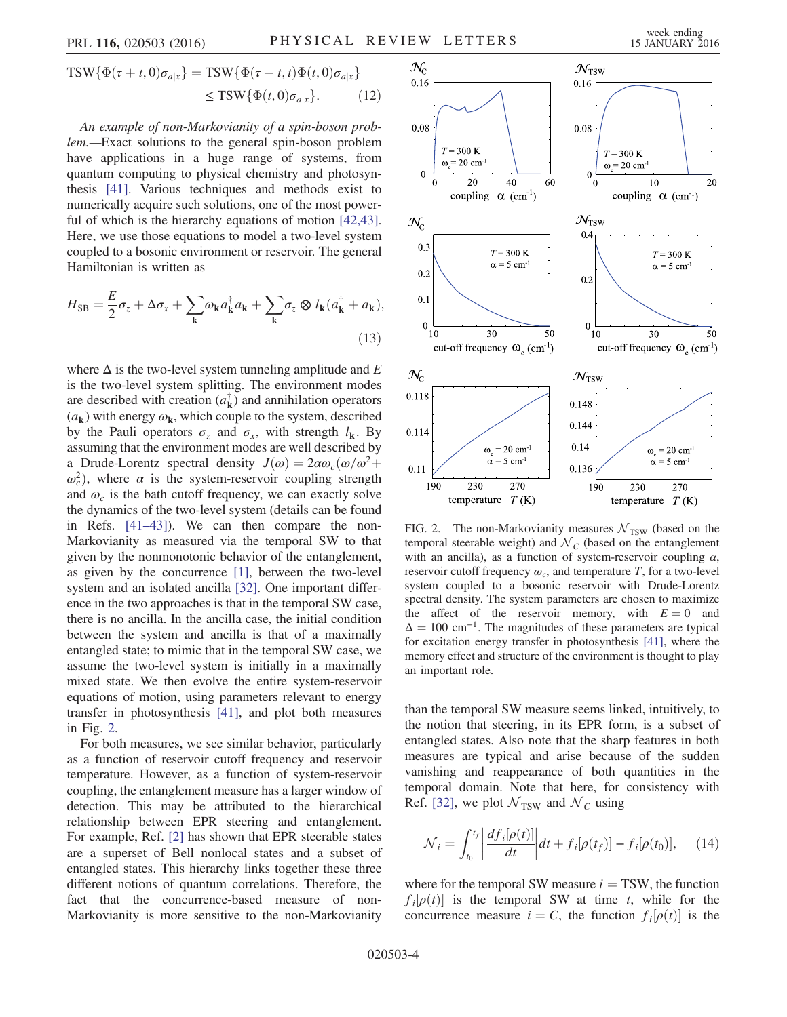$$
\text{TSW}\{\Phi(\tau+t,0)\sigma_{a|x}\} = \text{TSW}\{\Phi(\tau+t,t)\Phi(t,0)\sigma_{a|x}\}\
$$

$$
\leq \text{TSW}\{\Phi(t,0)\sigma_{a|x}\}.
$$
 (12)

An example of non-Markovianity of a spin-boson problem.—Exact solutions to the general spin-boson problem have applications in a huge range of systems, from quantum computing to physical chemistry and photosynthesis [\[41\].](#page-5-6) Various techniques and methods exist to numerically acquire such solutions, one of the most power-ful of which is the hierarchy equations of motion [\[42,43\]](#page-5-7). Here, we use those equations to model a two-level system coupled to a bosonic environment or reservoir. The general Hamiltonian is written as

$$
H_{\rm SB} = \frac{E}{2}\sigma_z + \Delta\sigma_x + \sum_{\mathbf{k}} \omega_{\mathbf{k}} a_{\mathbf{k}}^\dagger a_{\mathbf{k}} + \sum_{\mathbf{k}} \sigma_z \otimes l_{\mathbf{k}} (a_{\mathbf{k}}^\dagger + a_{\mathbf{k}}),
$$
\n(13)

where  $\Delta$  is the two-level system tunneling amplitude and E is the two-level system splitting. The environment modes are described with creation  $(a_k^{\dagger})$  and annihilation operators  $(a_k)$  with energy  $\omega_k$ , which couple to the system, described by the Pauli operators  $\sigma_z$  and  $\sigma_x$ , with strength  $l_k$ . By assuming that the environment modes are well described by a Drude-Lorentz spectral density  $J(\omega) = 2\alpha\omega_c(\omega/\omega^2 +$  $\omega_c^2$ ), where  $\alpha$  is the system-reservoir coupling strength<br>and  $\omega$  is the bath cutoff frequency we can exactly solve and  $\omega_c$  is the bath cutoff frequency, we can exactly solve the dynamics of the two-level system (details can be found in Refs. [\[41](#page-5-6)–43]). We can then compare the non-Markovianity as measured via the temporal SW to that given by the nonmonotonic behavior of the entanglement, as given by the concurrence [\[1\],](#page-4-1) between the two-level system and an isolated ancilla [\[32\]](#page-5-1). One important difference in the two approaches is that in the temporal SW case, there is no ancilla. In the ancilla case, the initial condition between the system and ancilla is that of a maximally entangled state; to mimic that in the temporal SW case, we assume the two-level system is initially in a maximally mixed state. We then evolve the entire system-reservoir equations of motion, using parameters relevant to energy transfer in photosynthesis [\[41\],](#page-5-6) and plot both measures in Fig. [2](#page-3-0).

For both measures, we see similar behavior, particularly as a function of reservoir cutoff frequency and reservoir temperature. However, as a function of system-reservoir coupling, the entanglement measure has a larger window of detection. This may be attributed to the hierarchical relationship between EPR steering and entanglement. For example, Ref. [\[2\]](#page-4-2) has shown that EPR steerable states are a superset of Bell nonlocal states and a subset of entangled states. This hierarchy links together these three different notions of quantum correlations. Therefore, the fact that the concurrence-based measure of non-Markovianity is more sensitive to the non-Markovianity

<span id="page-3-0"></span>

FIG. 2. The non-Markovianity measures  $N_{\rm TSW}$  (based on the temporal steerable weight) and  $N_c$  (based on the entanglement with an ancilla), as a function of system-reservoir coupling  $\alpha$ , reservoir cutoff frequency  $\omega_c$ , and temperature T, for a two-level system coupled to a bosonic reservoir with Drude-Lorentz spectral density. The system parameters are chosen to maximize the affect of the reservoir memory, with  $E = 0$  and  $\Delta = 100$  cm<sup>-1</sup>. The magnitudes of these parameters are typical for excitation energy transfer in photosynthesis [\[41\]](#page-5-6), where the memory effect and structure of the environment is thought to play an important role.

than the temporal SW measure seems linked, intuitively, to the notion that steering, in its EPR form, is a subset of entangled states. Also note that the sharp features in both measures are typical and arise because of the sudden vanishing and reappearance of both quantities in the temporal domain. Note that here, for consistency with Ref. [\[32\],](#page-5-1) we plot  $\mathcal{N}_{\rm TSW}$  and  $\mathcal{N}_C$  using

$$
\mathcal{N}_i = \int_{t_0}^{t_f} \left| \frac{df_i[\rho(t)]}{dt} \right| dt + f_i[\rho(t_f)] - f_i[\rho(t_0)], \quad (14)
$$

where for the temporal SW measure  $i = TSW$ , the function  $f_i[\rho(t)]$  is the temporal SW at time t, while for the concurrence measure  $i = C$ , the function  $f_i[\rho(t)]$  is the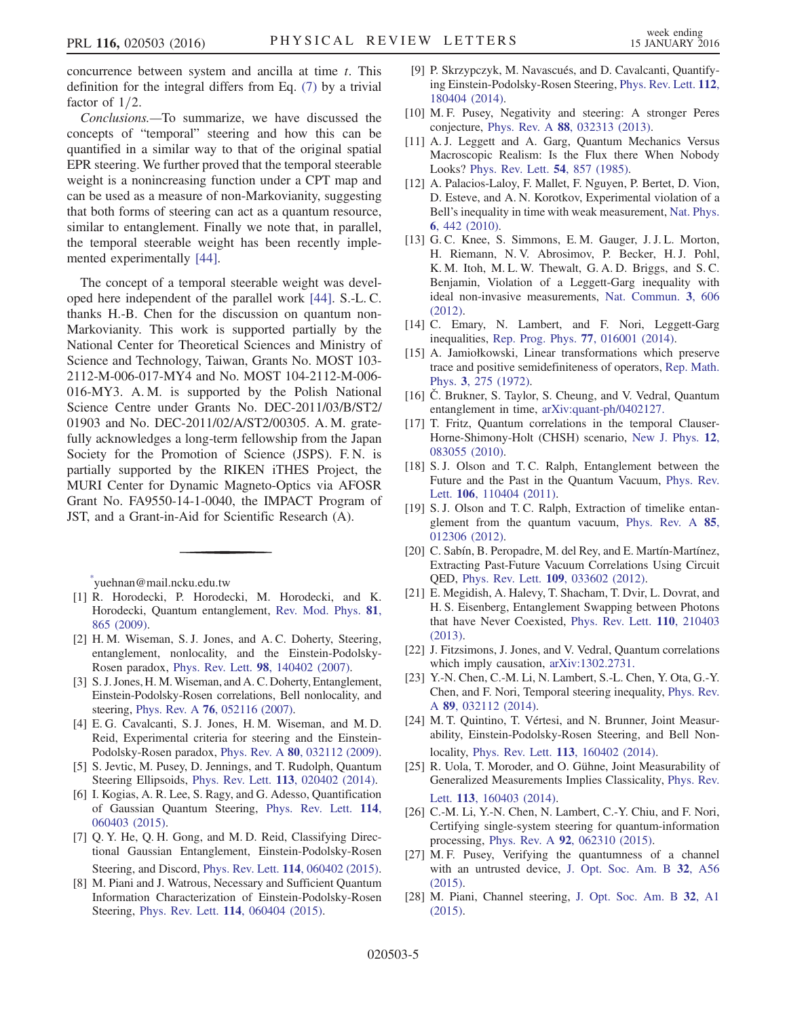concurrence between system and ancilla at time t. This definition for the integral differs from Eq. [\(7\)](#page-2-4) by a trivial factor of  $1/2$ .

Conclusions.—To summarize, we have discussed the concepts of "temporal" steering and how this can be quantified in a similar way to that of the original spatial EPR steering. We further proved that the temporal steerable weight is a nonincreasing function under a CPT map and can be used as a measure of non-Markovianity, suggesting that both forms of steering can act as a quantum resource, similar to entanglement. Finally we note that, in parallel, the temporal steerable weight has been recently implemented experimentally [\[44\]](#page-5-8).

The concept of a temporal steerable weight was developed here independent of the parallel work [\[44\]](#page-5-8). S.-L. C. thanks H.-B. Chen for the discussion on quantum non-Markovianity. This work is supported partially by the National Center for Theoretical Sciences and Ministry of Science and Technology, Taiwan, Grants No. MOST 103- 2112-M-006-017-MY4 and No. MOST 104-2112-M-006- 016-MY3. A. M. is supported by the Polish National Science Centre under Grants No. DEC-2011/03/B/ST2/ 01903 and No. DEC-2011/02/A/ST2/00305. A. M. gratefully acknowledges a long-term fellowship from the Japan Society for the Promotion of Science (JSPS). F. N. is partially supported by the RIKEN iTHES Project, the MURI Center for Dynamic Magneto-Optics via AFOSR Grant No. FA9550-14-1-0040, the IMPACT Program of JST, and a Grant-in-Aid for Scientific Research (A).

<span id="page-4-1"></span><span id="page-4-0"></span>[\\*](#page-0-0) yuehnan@mail.ncku.edu.tw

- <span id="page-4-2"></span>[1] R. Horodecki, P. Horodecki, M. Horodecki, and K. Horodecki, Quantum entanglement, [Rev. Mod. Phys.](http://dx.doi.org/10.1103/RevModPhys.81.865) 81, [865 \(2009\)](http://dx.doi.org/10.1103/RevModPhys.81.865).
- [2] H. M. Wiseman, S. J. Jones, and A. C. Doherty, Steering, entanglement, nonlocality, and the Einstein-Podolsky-Rosen paradox, Phys. Rev. Lett. 98[, 140402 \(2007\)](http://dx.doi.org/10.1103/PhysRevLett.98.140402).
- [3] S. J. Jones, H. M. Wiseman, and A. C. Doherty, Entanglement, Einstein-Podolsky-Rosen correlations, Bell nonlocality, and steering, Phys. Rev. A 76[, 052116 \(2007\).](http://dx.doi.org/10.1103/PhysRevA.76.052116)
- <span id="page-4-3"></span>[4] E. G. Cavalcanti, S. J. Jones, H. M. Wiseman, and M. D. Reid, Experimental criteria for steering and the Einstein-Podolsky-Rosen paradox, Phys. Rev. A 80[, 032112 \(2009\).](http://dx.doi.org/10.1103/PhysRevA.80.032112)
- [5] S. Jevtic, M. Pusey, D. Jennings, and T. Rudolph, Quantum Steering Ellipsoids, Phys. Rev. Lett. 113[, 020402 \(2014\).](http://dx.doi.org/10.1103/PhysRevLett.113.020402)
- [6] I. Kogias, A. R. Lee, S. Ragy, and G. Adesso, Quantification of Gaussian Quantum Steering, [Phys. Rev. Lett.](http://dx.doi.org/10.1103/PhysRevLett.114.060403) 114, [060403 \(2015\).](http://dx.doi.org/10.1103/PhysRevLett.114.060403)
- [7] Q. Y. He, Q. H. Gong, and M. D. Reid, Classifying Directional Gaussian Entanglement, Einstein-Podolsky-Rosen Steering, and Discord, Phys. Rev. Lett. 114[, 060402 \(2015\).](http://dx.doi.org/10.1103/PhysRevLett.114.060402)
- [8] M. Piani and J. Watrous, Necessary and Sufficient Quantum Information Characterization of Einstein-Podolsky-Rosen Steering, Phys. Rev. Lett. 114[, 060404 \(2015\).](http://dx.doi.org/10.1103/PhysRevLett.114.060404)
- <span id="page-4-4"></span>[9] P. Skrzypczyk, M. Navascués, and D. Cavalcanti, Quantifying Einstein-Podolsky-Rosen Steering, [Phys. Rev. Lett.](http://dx.doi.org/10.1103/PhysRevLett.112.180404) 112, [180404 \(2014\).](http://dx.doi.org/10.1103/PhysRevLett.112.180404)
- [10] M. F. Pusey, Negativity and steering: A stronger Peres conjecture, Phys. Rev. A 88[, 032313 \(2013\)](http://dx.doi.org/10.1103/PhysRevA.88.032313).
- <span id="page-4-5"></span>[11] A. J. Leggett and A. Garg, Quantum Mechanics Versus Macroscopic Realism: Is the Flux there When Nobody Looks? [Phys. Rev. Lett.](http://dx.doi.org/10.1103/PhysRevLett.54.857) 54, 857 (1985).
- <span id="page-4-6"></span>[12] A. Palacios-Laloy, F. Mallet, F. Nguyen, P. Bertet, D. Vion, D. Esteve, and A. N. Korotkov, Experimental violation of a Bell's inequality in time with weak measurement, [Nat. Phys.](http://dx.doi.org/10.1038/nphys1641) 6[, 442 \(2010\).](http://dx.doi.org/10.1038/nphys1641)
- [13] G. C. Knee, S. Simmons, E. M. Gauger, J. J. L. Morton, H. Riemann, N. V. Abrosimov, P. Becker, H. J. Pohl, K. M. Itoh, M. L. W. Thewalt, G. A. D. Briggs, and S. C. Benjamin, Violation of a Leggett-Garg inequality with ideal non-invasive measurements, [Nat. Commun.](http://dx.doi.org/10.1038/ncomms1614) 3, 606 [\(2012\).](http://dx.doi.org/10.1038/ncomms1614)
- [14] C. Emary, N. Lambert, and F. Nori, Leggett-Garg inequalities, [Rep. Prog. Phys.](http://dx.doi.org/10.1088/0034-4885/77/1/016001) 77, 016001 (2014).
- <span id="page-4-7"></span>[15] A. Jamiołkowski, Linear transformations which preserve trace and positive semidefiniteness of operators, [Rep. Math.](http://dx.doi.org/10.1016/0034-4877(72)90011-0) Phys. 3[, 275 \(1972\)](http://dx.doi.org/10.1016/0034-4877(72)90011-0).
- <span id="page-4-8"></span>[16] Č. Brukner, S. Taylor, S. Cheung, and V. Vedral, Quantum entanglement in time, [arXiv:quant-ph/0402127.](http://arXiv.org/abs/quant-ph/0402127)
- [17] T. Fritz, Quantum correlations in the temporal Clauser-Horne-Shimony-Holt (CHSH) scenario, [New J. Phys.](http://dx.doi.org/10.1088/1367-2630/12/8/083055) 12, [083055 \(2010\).](http://dx.doi.org/10.1088/1367-2630/12/8/083055)
- [18] S. J. Olson and T. C. Ralph, Entanglement between the Future and the Past in the Quantum Vacuum, [Phys. Rev.](http://dx.doi.org/10.1103/PhysRevLett.106.110404) Lett. 106[, 110404 \(2011\)](http://dx.doi.org/10.1103/PhysRevLett.106.110404).
- [19] S. J. Olson and T. C. Ralph, Extraction of timelike entanglement from the quantum vacuum, [Phys. Rev. A](http://dx.doi.org/10.1103/PhysRevA.85.012306) 85, [012306 \(2012\).](http://dx.doi.org/10.1103/PhysRevA.85.012306)
- [20] C. Sabín, B. Peropadre, M. del Rey, and E. Martín-Martínez, Extracting Past-Future Vacuum Correlations Using Circuit QED, Phys. Rev. Lett. 109[, 033602 \(2012\).](http://dx.doi.org/10.1103/PhysRevLett.109.033602)
- [21] E. Megidish, A. Halevy, T. Shacham, T. Dvir, L. Dovrat, and H. S. Eisenberg, Entanglement Swapping between Photons that have Never Coexisted, [Phys. Rev. Lett.](http://dx.doi.org/10.1103/PhysRevLett.110.210403) 110, 210403 [\(2013\).](http://dx.doi.org/10.1103/PhysRevLett.110.210403)
- [22] J. Fitzsimons, J. Jones, and V. Vedral, Quantum correlations which imply causation, [arXiv:1302.2731.](http://arXiv.org/abs/1302.2731)
- <span id="page-4-9"></span>[23] Y.-N. Chen, C.-M. Li, N. Lambert, S.-L. Chen, Y. Ota, G.-Y. Chen, and F. Nori, Temporal steering inequality, [Phys. Rev.](http://dx.doi.org/10.1103/PhysRevA.89.032112) <sup>A</sup> 89[, 032112 \(2014\)](http://dx.doi.org/10.1103/PhysRevA.89.032112).
- <span id="page-4-10"></span>[24] M. T. Quintino, T. Vértesi, and N. Brunner, Joint Measurability, Einstein-Podolsky-Rosen Steering, and Bell Nonlocality, Phys. Rev. Lett. 113[, 160402 \(2014\)](http://dx.doi.org/10.1103/PhysRevLett.113.160402).
- [25] R. Uola, T. Moroder, and O. Gühne, Joint Measurability of Generalized Measurements Implies Classicality, [Phys. Rev.](http://dx.doi.org/10.1103/PhysRevLett.113.160403) Lett. 113[, 160403 \(2014\)](http://dx.doi.org/10.1103/PhysRevLett.113.160403).
- <span id="page-4-11"></span>[26] C.-M. Li, Y.-N. Chen, N. Lambert, C.-Y. Chiu, and F. Nori, Certifying single-system steering for quantum-information processing, Phys. Rev. A 92[, 062310 \(2015\)](http://dx.doi.org/10.1103/PhysRevA.92.062310).
- [27] M. F. Pusey, Verifying the quantumness of a channel with an untrusted device, [J. Opt. Soc. Am. B](http://dx.doi.org/10.1364/JOSAB.32.000A56) 32, A56 [\(2015\).](http://dx.doi.org/10.1364/JOSAB.32.000A56)
- [28] M. Piani, Channel steering, [J. Opt. Soc. Am. B](http://dx.doi.org/10.1364/JOSAB.32.0000A1) 32, A1 [\(2015\).](http://dx.doi.org/10.1364/JOSAB.32.0000A1)